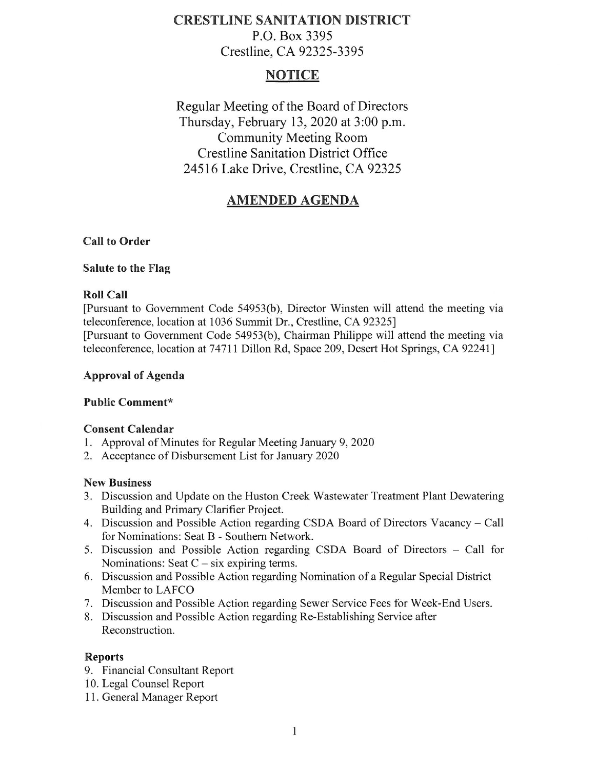# **CRESTLINE SANITATION DISTRICT**  P.O. Box 3395 Crestline, CA 92325-3395

# **NOTICE**

Regular Meeting of the Board of Directors Thursday, February 13, 2020 at 3:00 p.m. Community Meeting Room Crestline Sanitation District Office 24516 Lake Drive, Crestline, CA 92325

# **AMENDED AGENDA**

## **Call to Order**

### **Salute to the Flag**

## **Roll Call**

[Pursuant to Government Code 54953(b), Director Winsten will attend the meeting via teleconference, location at 1036 Summit Dr., Crestline, CA 92325] [Pursuant to Government Code 54953(b ), Chairman Philippe will attend the meeting via teleconference, location at 74711 Dillon Rd, Space 209, Desert Hot Springs, CA 92241]

## **Approval of Agenda**

# **Public Comment\***

# **Consent Calendar**

- 1. Approval of Minutes for Regular Meeting January 9, 2020
- 2. Acceptance of Disbursement List for January 2020

### **New Business**

- 3. Discussion and Update on the Huston Creek Wastewater Treatment Plant Dewatering Building and Primary Clarifier Project.
- 4. Discussion and Possible Action regarding CSDA Board of Directors Vacancy Call for Nominations: Seat B - Southern Network.
- 5. Discussion and Possible Action regarding CSDA Board of Directors Call for Nominations: Seat  $C - six$  expiring terms.
- 6. Discussion and Possible Action regarding Nomination of a Regular Special District Member to LAFCO
- 7. Discussion and Possible Action regarding Sewer Service Fees for Week-End Users.
- 8. Discussion and Possible Action regarding Re-Establishing Service after Reconstruction.

### **Reports**

- 9. Financial Consultant Report
- 10. Legal Counsel Report
- 11. General Manager Report